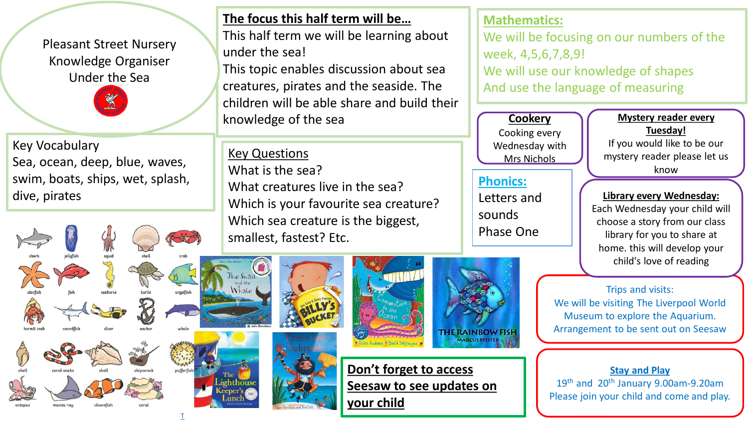Pleasant Street Nursery Knowledge Organiser Under the Sea

Key Vocabulary Sea, ocean, deep, blue, waves, swim, boats, ships, wet, splash, dive, pirates

### **The focus this half term will be…**

This half term we will be learning about under the sea!

This topic enables discussion about sea creatures, pirates and the seaside. The children will be able share and build their knowledge of the sea

Key Questions What is the sea? What creatures live in the sea? Which is your favourite sea creature? Which sea creature is the biggest, smallest, fastest? Etc.

#### **Mathematics:**

We will be focusing on our numbers of the week, 4,5,6,7,8,9! We will use our knowledge of shapes And use the language of measuring

**Cookery** Cooking every Wednesday with Mrs Nichols

# **Phonics:**

Letters and sounds Phase One

**Mystery reader every Tuesday!**

If you would like to be our mystery reader please let us know

#### **Library every Wednesday:**

Each Wednesday your child will choose a story from our class library for you to share at home. this will develop your child's love of reading

Trips and visits: We will be visiting The Liverpool World Museum to explore the Aquarium. Arrangement to be sent out on Seesaw

**Stay and Play** 19<sup>th</sup> and 20<sup>th</sup> January 9.00am-9.20am Please join your child and come and play.







**Don't forget to access Seesaw to see updates on your child**



T

ighthouse